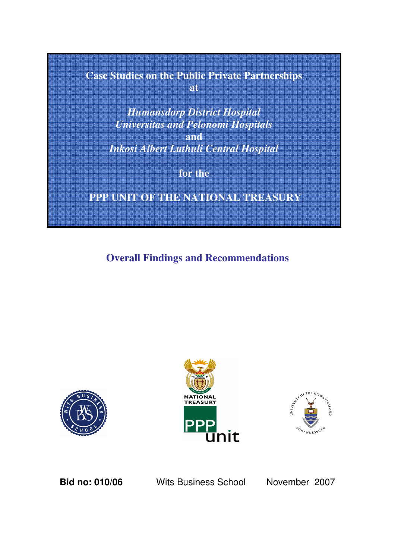# **Case Studies on the Public Private Partnerships at**

*Humansdorp District Hospital Universitas and Pelonomi Hospitals* **and** *Inkosi Albert Luthuli Central Hospital*

**for the**

**PPP UNIT OF THE NATIONAL TREASURY**

**Overall Findings and Recommendations**







**Bid no: 010/06** Wits Business School November 2007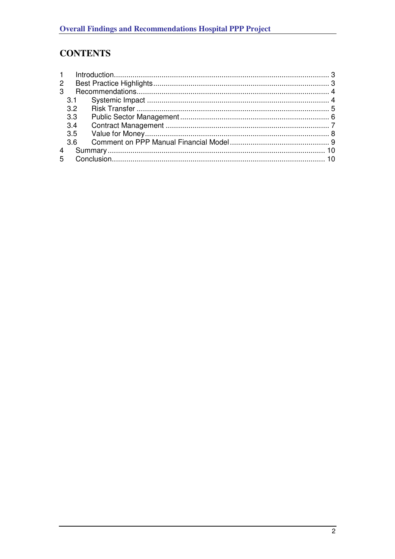# **CONTENTS**

| $\overline{2}$ |                                                                   |  |
|----------------|-------------------------------------------------------------------|--|
|                |                                                                   |  |
|                |                                                                   |  |
|                |                                                                   |  |
|                |                                                                   |  |
|                |                                                                   |  |
|                |                                                                   |  |
|                |                                                                   |  |
|                |                                                                   |  |
|                |                                                                   |  |
|                | $\mathbf{1}$<br>3.2<br>3.3<br>3.4<br>3.5<br>3.6<br>$\overline{4}$ |  |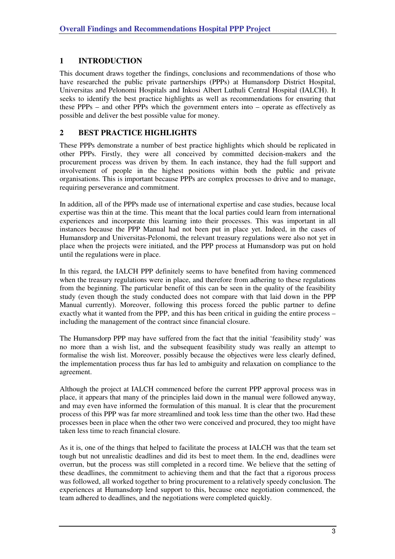# **1 INTRODUCTION**

This document draws together the findings, conclusions and recommendations of those who have researched the public private partnerships (PPPs) at Humansdorp District Hospital, Universitas and Pelonomi Hospitals and Inkosi Albert Luthuli Central Hospital (IALCH). It seeks to identify the best practice highlights as well as recommendations for ensuring that these PPPs – and other PPPs which the government enters into – operate as effectively as possible and deliver the best possible value for money.

# **2 BEST PRACTICE HIGHLIGHTS**

These PPPs demonstrate a number of best practice highlights which should be replicated in other PPPs. Firstly, they were all conceived by committed decision-makers and the procurement process was driven by them. In each instance, they had the full support and involvement of people in the highest positions within both the public and private organisations. This is important because PPPs are complex processes to drive and to manage, requiring perseverance and commitment.

In addition, all of the PPPs made use of international expertise and case studies, because local expertise was thin at the time. This meant that the local parties could learn from international experiences and incorporate this learning into their processes. This was important in all instances because the PPP Manual had not been put in place yet. Indeed, in the cases of Humansdorp and Universitas-Pelonomi, the relevant treasury regulations were also not yet in place when the projects were initiated, and the PPP process at Humansdorp was put on hold until the regulations were in place.

In this regard, the IALCH PPP definitely seems to have benefited from having commenced when the treasury regulations were in place, and therefore from adhering to these regulations from the beginning. The particular benefit of this can be seen in the quality of the feasibility study (even though the study conducted does not compare with that laid down in the PPP Manual currently). Moreover, following this process forced the public partner to define exactly what it wanted from the PPP, and this has been critical in guiding the entire process – including the management of the contract since financial closure.

The Humansdorp PPP may have suffered from the fact that the initial 'feasibility study' was no more than a wish list, and the subsequent feasibility study was really an attempt to formalise the wish list. Moreover, possibly because the objectives were less clearly defined, the implementation process thus far has led to ambiguity and relaxation on compliance to the agreement.

Although the project at IALCH commenced before the current PPP approval process was in place, it appears that many of the principles laid down in the manual were followed anyway, and may even have informed the formulation of this manual. It is clear that the procurement process of this PPP was far more streamlined and took less time than the other two. Had these processes been in place when the other two were conceived and procured, they too might have taken less time to reach financial closure.

As it is, one of the things that helped to facilitate the process at IALCH was that the team set tough but not unrealistic deadlines and did its best to meet them. In the end, deadlines were overrun, but the process was still completed in a record time. We believe that the setting of these deadlines, the commitment to achieving them and that the fact that a rigorous process was followed, all worked together to bring procurement to a relatively speedy conclusion. The experiences at Humansdorp lend support to this, because once negotiation commenced, the team adhered to deadlines, and the negotiations were completed quickly.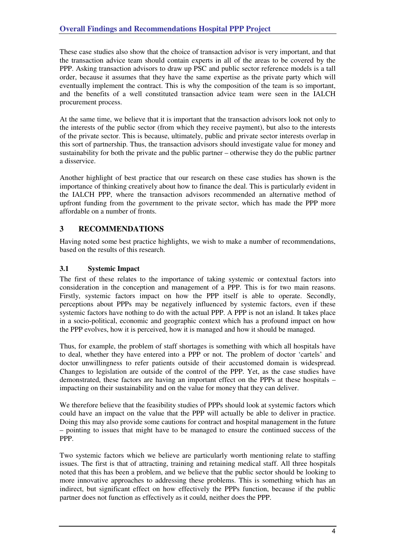These case studies also show that the choice of transaction advisor is very important, and that the transaction advice team should contain experts in all of the areas to be covered by the PPP. Asking transaction advisors to draw up PSC and public sector reference models is a tall order, because it assumes that they have the same expertise as the private party which will eventually implement the contract. This is why the composition of the team is so important, and the benefits of a well constituted transaction advice team were seen in the IALCH procurement process.

At the same time, we believe that it is important that the transaction advisors look not only to the interests of the public sector (from which they receive payment), but also to the interests of the private sector. This is because, ultimately, public and private sector interests overlap in this sort of partnership. Thus, the transaction advisors should investigate value for money and sustainability for both the private and the public partner – otherwise they do the public partner a disservice.

Another highlight of best practice that our research on these case studies has shown is the importance of thinking creatively about how to finance the deal. This is particularly evident in the IALCH PPP, where the transaction advisors recommended an alternative method of upfront funding from the government to the private sector, which has made the PPP more affordable on a number of fronts.

# **3 RECOMMENDATIONS**

Having noted some best practice highlights, we wish to make a number of recommendations, based on the results of this research.

#### **3.1 Systemic Impact**

The first of these relates to the importance of taking systemic or contextual factors into consideration in the conception and management of a PPP. This is for two main reasons. Firstly, systemic factors impact on how the PPP itself is able to operate. Secondly, perceptions about PPPs may be negatively influenced by systemic factors, even if these systemic factors have nothing to do with the actual PPP. A PPP is not an island. It takes place in a socio-political, economic and geographic context which has a profound impact on how the PPP evolves, how it is perceived, how it is managed and how it should be managed.

Thus, for example, the problem of staff shortages is something with which all hospitals have to deal, whether they have entered into a PPP or not. The problem of doctor 'cartels' and doctor unwillingness to refer patients outside of their accustomed domain is widespread. Changes to legislation are outside of the control of the PPP. Yet, as the case studies have demonstrated, these factors are having an important effect on the PPPs at these hospitals – impacting on their sustainability and on the value for money that they can deliver.

We therefore believe that the feasibility studies of PPPs should look at systemic factors which could have an impact on the value that the PPP will actually be able to deliver in practice. Doing this may also provide some cautions for contract and hospital management in the future – pointing to issues that might have to be managed to ensure the continued success of the PPP.

Two systemic factors which we believe are particularly worth mentioning relate to staffing issues. The first is that of attracting, training and retaining medical staff. All three hospitals noted that this has been a problem, and we believe that the public sector should be looking to more innovative approaches to addressing these problems. This is something which has an indirect, but significant effect on how effectively the PPPs function, because if the public partner does not function as effectively as it could, neither does the PPP.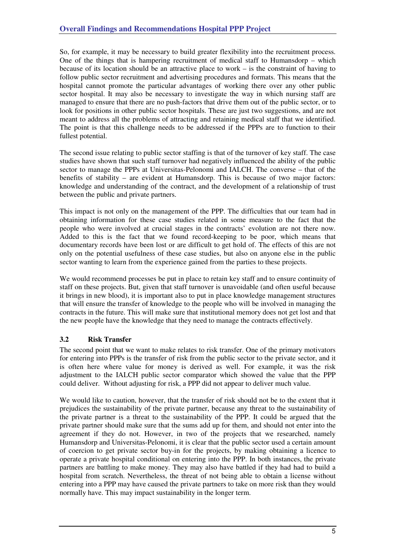So, for example, it may be necessary to build greater flexibility into the recruitment process. One of the things that is hampering recruitment of medical staff to Humansdorp – which because of its location should be an attractive place to work – is the constraint of having to follow public sector recruitment and advertising procedures and formats. This means that the hospital cannot promote the particular advantages of working there over any other public sector hospital. It may also be necessary to investigate the way in which nursing staff are managed to ensure that there are no push-factors that drive them out of the public sector, or to look for positions in other public sector hospitals. These are just two suggestions, and are not meant to address all the problems of attracting and retaining medical staff that we identified. The point is that this challenge needs to be addressed if the PPPs are to function to their fullest potential.

The second issue relating to public sector staffing is that of the turnover of key staff. The case studies have shown that such staff turnover had negatively influenced the ability of the public sector to manage the PPPs at Universitas-Pelonomi and IALCH. The converse – that of the benefits of stability – are evident at Humansdorp. This is because of two major factors: knowledge and understanding of the contract, and the development of a relationship of trust between the public and private partners.

This impact is not only on the management of the PPP. The difficulties that our team had in obtaining information for these case studies related in some measure to the fact that the people who were involved at crucial stages in the contracts' evolution are not there now. Added to this is the fact that we found record-keeping to be poor, which means that documentary records have been lost or are difficult to get hold of. The effects of this are not only on the potential usefulness of these case studies, but also on anyone else in the public sector wanting to learn from the experience gained from the parties to these projects.

We would recommend processes be put in place to retain key staff and to ensure continuity of staff on these projects. But, given that staff turnover is unavoidable (and often useful because it brings in new blood), it is important also to put in place knowledge management structures that will ensure the transfer of knowledge to the people who will be involved in managing the contracts in the future. This will make sure that institutional memory does not get lost and that the new people have the knowledge that they need to manage the contracts effectively.

# **3.2 Risk Transfer**

The second point that we want to make relates to risk transfer. One of the primary motivators for entering into PPPs is the transfer of risk from the public sector to the private sector, and it is often here where value for money is derived as well. For example, it was the risk adjustment to the IALCH public sector comparator which showed the value that the PPP could deliver. Without adjusting for risk, a PPP did not appear to deliver much value.

We would like to caution, however, that the transfer of risk should not be to the extent that it prejudices the sustainability of the private partner, because any threat to the sustainability of the private partner is a threat to the sustainability of the PPP. It could be argued that the private partner should make sure that the sums add up for them, and should not enter into the agreement if they do not. However, in two of the projects that we researched, namely Humansdorp and Universitas-Pelonomi, it is clear that the public sector used a certain amount of coercion to get private sector buy-in for the projects, by making obtaining a licence to operate a private hospital conditional on entering into the PPP. In both instances, the private partners are battling to make money. They may also have battled if they had had to build a hospital from scratch. Nevertheless, the threat of not being able to obtain a license without entering into a PPP may have caused the private partners to take on more risk than they would normally have. This may impact sustainability in the longer term.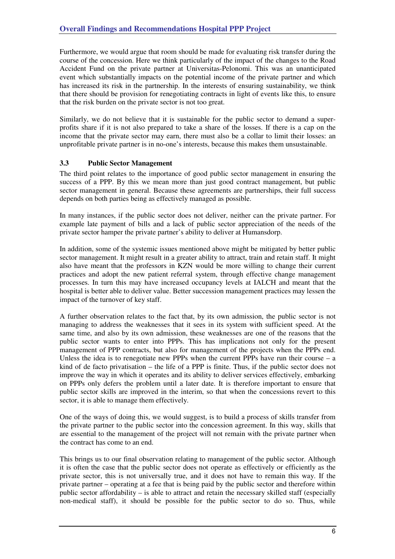Furthermore, we would argue that room should be made for evaluating risk transfer during the course of the concession. Here we think particularly of the impact of the changes to the Road Accident Fund on the private partner at Universitas-Pelonomi. This was an unanticipated event which substantially impacts on the potential income of the private partner and which has increased its risk in the partnership. In the interests of ensuring sustainability, we think that there should be provision for renegotiating contracts in light of events like this, to ensure that the risk burden on the private sector is not too great.

Similarly, we do not believe that it is sustainable for the public sector to demand a superprofits share if it is not also prepared to take a share of the losses. If there is a cap on the income that the private sector may earn, there must also be a collar to limit their losses: an unprofitable private partner is in no-one's interests, because this makes them unsustainable.

#### **3.3 Public Sector Management**

The third point relates to the importance of good public sector management in ensuring the success of a PPP. By this we mean more than just good contract management, but public sector management in general. Because these agreements are partnerships, their full success depends on both parties being as effectively managed as possible.

In many instances, if the public sector does not deliver, neither can the private partner. For example late payment of bills and a lack of public sector appreciation of the needs of the private sector hamper the private partner's ability to deliver at Humansdorp.

In addition, some of the systemic issues mentioned above might be mitigated by better public sector management. It might result in a greater ability to attract, train and retain staff. It might also have meant that the professors in KZN would be more willing to change their current practices and adopt the new patient referral system, through effective change management processes. In turn this may have increased occupancy levels at IALCH and meant that the hospital is better able to deliver value. Better succession management practices may lessen the impact of the turnover of key staff.

A further observation relates to the fact that, by its own admission, the public sector is not managing to address the weaknesses that it sees in its system with sufficient speed. At the same time, and also by its own admission, these weaknesses are one of the reasons that the public sector wants to enter into PPPs. This has implications not only for the present management of PPP contracts, but also for management of the projects when the PPPs end. Unless the idea is to renegotiate new PPPs when the current PPPs have run their course  $- a$ kind of de facto privatisation – the life of a PPP is finite. Thus, if the public sector does not improve the way in which it operates and its ability to deliver services effectively, embarking on PPPs only defers the problem until a later date. It is therefore important to ensure that public sector skills are improved in the interim, so that when the concessions revert to this sector, it is able to manage them effectively.

One of the ways of doing this, we would suggest, is to build a process of skills transfer from the private partner to the public sector into the concession agreement. In this way, skills that are essential to the management of the project will not remain with the private partner when the contract has come to an end.

This brings us to our final observation relating to management of the public sector. Although it is often the case that the public sector does not operate as effectively or efficiently as the private sector, this is not universally true, and it does not have to remain this way. If the private partner – operating at a fee that is being paid by the public sector and therefore within public sector affordability – is able to attract and retain the necessary skilled staff (especially non-medical staff), it should be possible for the public sector to do so. Thus, while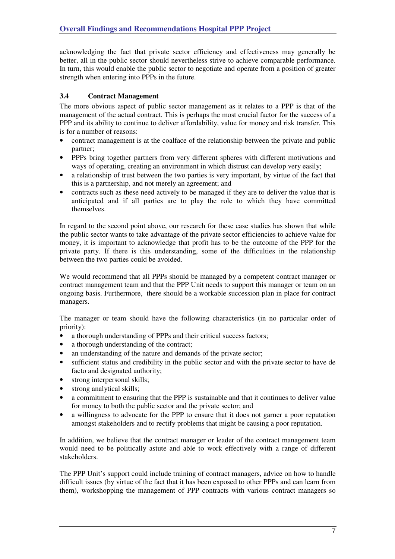acknowledging the fact that private sector efficiency and effectiveness may generally be better, all in the public sector should nevertheless strive to achieve comparable performance. In turn, this would enable the public sector to negotiate and operate from a position of greater strength when entering into PPPs in the future.

#### **3.4 Contract Management**

The more obvious aspect of public sector management as it relates to a PPP is that of the management of the actual contract. This is perhaps the most crucial factor for the success of a PPP and its ability to continue to deliver affordability, value for money and risk transfer. This is for a number of reasons:

- contract management is at the coalface of the relationship between the private and public partner;
- PPPs bring together partners from very different spheres with different motivations and ways of operating, creating an environment in which distrust can develop very easily;
- a relationship of trust between the two parties is very important, by virtue of the fact that this is a partnership, and not merely an agreement; and
- contracts such as these need actively to be managed if they are to deliver the value that is anticipated and if all parties are to play the role to which they have committed themselves.

In regard to the second point above, our research for these case studies has shown that while the public sector wants to take advantage of the private sector efficiencies to achieve value for money, it is important to acknowledge that profit has to be the outcome of the PPP for the private party. If there is this understanding, some of the difficulties in the relationship between the two parties could be avoided.

We would recommend that all PPPs should be managed by a competent contract manager or contract management team and that the PPP Unit needs to support this manager or team on an ongoing basis. Furthermore, there should be a workable succession plan in place for contract managers.

The manager or team should have the following characteristics (in no particular order of priority):

- a thorough understanding of PPPs and their critical success factors;
- a thorough understanding of the contract;
- an understanding of the nature and demands of the private sector;
- sufficient status and credibility in the public sector and with the private sector to have de facto and designated authority;
- strong interpersonal skills;
- strong analytical skills;
- a commitment to ensuring that the PPP is sustainable and that it continues to deliver value for money to both the public sector and the private sector; and
- a willingness to advocate for the PPP to ensure that it does not garner a poor reputation amongst stakeholders and to rectify problems that might be causing a poor reputation.

In addition, we believe that the contract manager or leader of the contract management team would need to be politically astute and able to work effectively with a range of different stakeholders.

The PPP Unit's support could include training of contract managers, advice on how to handle difficult issues (by virtue of the fact that it has been exposed to other PPPs and can learn from them), workshopping the management of PPP contracts with various contract managers so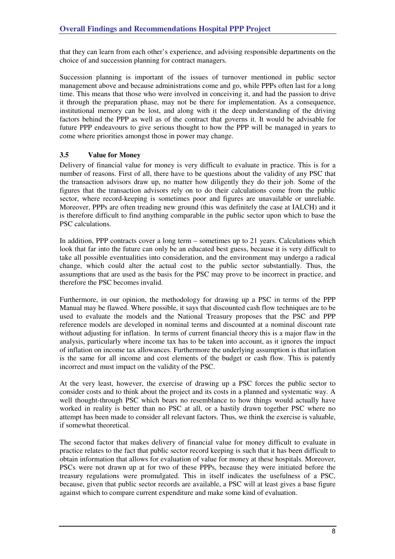that they can learn from each other's experience, and advising responsible departments on the choice of and succession planning for contract managers.

Succession planning is important of the issues of turnover mentioned in public sector management above and because administrations come and go, while PPPs often last for a long time. This means that those who were involved in conceiving it, and had the passion to drive it through the preparation phase, may not be there for implementation. As a consequence, institutional memory can be lost, and along with it the deep understanding of the driving factors behind the PPP as well as of the contract that governs it. It would be advisable for future PPP endeavours to give serious thought to how the PPP will be managed in years to come where priorities amongst those in power may change.

#### **3.5 Value for Money**

Delivery of financial value for money is very difficult to evaluate in practice. This is for a number of reasons. First of all, there have to be questions about the validity of any PSC that the transaction advisors draw up, no matter how diligently they do their job. Some of the figures that the transaction advisors rely on to do their calculations come from the public sector, where record-keeping is sometimes poor and figures are unavailable or unreliable. Moreover, PPPs are often treading new ground (this was definitely the case at IALCH) and it is therefore difficult to find anything comparable in the public sector upon which to base the PSC calculations.

In addition, PPP contracts cover a long term – sometimes up to 21 years. Calculations which look that far into the future can only be an educated best guess, because it is very difficult to take all possible eventualities into consideration, and the environment may undergo a radical change, which could alter the actual cost to the public sector substantially. Thus, the assumptions that are used as the basis for the PSC may prove to be incorrect in practice, and therefore the PSC becomes invalid.

Furthermore, in our opinion, the methodology for drawing up a PSC in terms of the PPP Manual may be flawed. Where possible, it says that discounted cash flow techniques are to be used to evaluate the models and the National Treasury proposes that the PSC and PPP reference models are developed in nominal terms and discounted at a nominal discount rate without adjusting for inflation. In terms of current financial theory this is a major flaw in the analysis, particularly where income tax has to be taken into account, as it ignores the impact of inflation on income tax allowances. Furthermore the underlying assumption is that inflation is the same for all income and cost elements of the budget or cash flow. This is patently incorrect and must impact on the validity of the PSC.

At the very least, however, the exercise of drawing up a PSC forces the public sector to consider costs and to think about the project and its costs in a planned and systematic way. A well thought-through PSC which bears no resemblance to how things would actually have worked in reality is better than no PSC at all, or a hastily drawn together PSC where no attempt has been made to consider all relevant factors. Thus, we think the exercise is valuable, if somewhat theoretical.

The second factor that makes delivery of financial value for money difficult to evaluate in practice relates to the fact that public sector record keeping is such that it has been difficult to obtain information that allows for evaluation of value for money at these hospitals. Moreover, PSCs were not drawn up at for two of these PPPs, because they were initiated before the treasury regulations were promulgated. This in itself indicates the usefulness of a PSC, because, given that public sector records are available, a PSC will at least gives a base figure against which to compare current expenditure and make some kind of evaluation.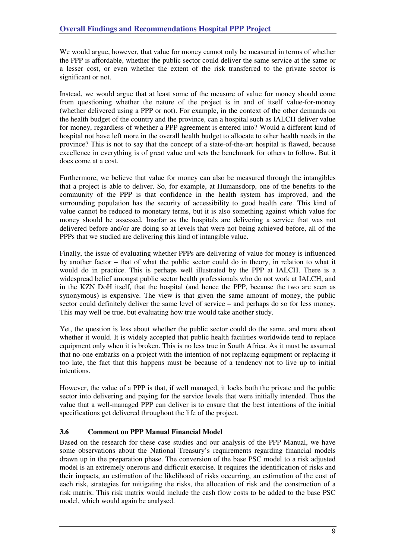We would argue, however, that value for money cannot only be measured in terms of whether the PPP is affordable, whether the public sector could deliver the same service at the same or a lesser cost, or even whether the extent of the risk transferred to the private sector is significant or not.

Instead, we would argue that at least some of the measure of value for money should come from questioning whether the nature of the project is in and of itself value-for-money (whether delivered using a PPP or not). For example, in the context of the other demands on the health budget of the country and the province, can a hospital such as IALCH deliver value for money, regardless of whether a PPP agreement is entered into? Would a different kind of hospital not have left more in the overall health budget to allocate to other health needs in the province? This is not to say that the concept of a state-of-the-art hospital is flawed, because excellence in everything is of great value and sets the benchmark for others to follow. But it does come at a cost.

Furthermore, we believe that value for money can also be measured through the intangibles that a project is able to deliver. So, for example, at Humansdorp, one of the benefits to the community of the PPP is that confidence in the health system has improved, and the surrounding population has the security of accessibility to good health care. This kind of value cannot be reduced to monetary terms, but it is also something against which value for money should be assessed. Insofar as the hospitals are delivering a service that was not delivered before and/or are doing so at levels that were not being achieved before, all of the PPPs that we studied are delivering this kind of intangible value.

Finally, the issue of evaluating whether PPPs are delivering of value for money is influenced by another factor – that of what the public sector could do in theory, in relation to what it would do in practice. This is perhaps well illustrated by the PPP at IALCH. There is a widespread belief amongst public sector health professionals who do not work at IALCH, and in the KZN DoH itself, that the hospital (and hence the PPP, because the two are seen as synonymous) is expensive. The view is that given the same amount of money, the public sector could definitely deliver the same level of service – and perhaps do so for less money. This may well be true, but evaluating how true would take another study.

Yet, the question is less about whether the public sector could do the same, and more about whether it would. It is widely accepted that public health facilities worldwide tend to replace equipment only when it is broken. This is no less true in South Africa. As it must be assumed that no-one embarks on a project with the intention of not replacing equipment or replacing it too late, the fact that this happens must be because of a tendency not to live up to initial intentions.

However, the value of a PPP is that, if well managed, it locks both the private and the public sector into delivering and paying for the service levels that were initially intended. Thus the value that a well-managed PPP can deliver is to ensure that the best intentions of the initial specifications get delivered throughout the life of the project.

# **3.6 Comment on PPP Manual Financial Model**

Based on the research for these case studies and our analysis of the PPP Manual, we have some observations about the National Treasury's requirements regarding financial models drawn up in the preparation phase. The conversion of the base PSC model to a risk adjusted model is an extremely onerous and difficult exercise. It requires the identification of risks and their impacts, an estimation of the likelihood of risks occurring, an estimation of the cost of each risk, strategies for mitigating the risks, the allocation of risk and the construction of a risk matrix. This risk matrix would include the cash flow costs to be added to the base PSC model, which would again be analysed.